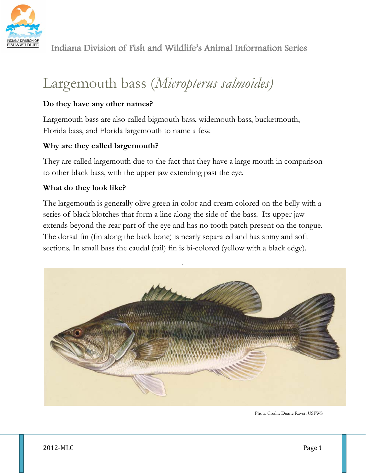

# Largemouth bass (*Micropterus salmoides)*

## **Do they have any other names?**

Largemouth bass are also called bigmouth bass, widemouth bass, bucketmouth, Florida bass, and Florida largemouth to name a few.

## **Why are they called largemouth?**

They are called largemouth due to the fact that they have a large mouth in comparison to other black bass, with the upper jaw extending past the eye.

#### **What do they look like?**

The largemouth is generally olive green in color and cream colored on the belly with a series of black blotches that form a line along the side of the bass. Its upper jaw extends beyond the rear part of the eye and has no tooth patch present on the tongue. The dorsal fin (fin along the back bone) is nearly separated and has spiny and soft sections. In small bass the caudal (tail) fin is bi-colored (yellow with a black edge).



Photo Credit: Duane Raver, USFWS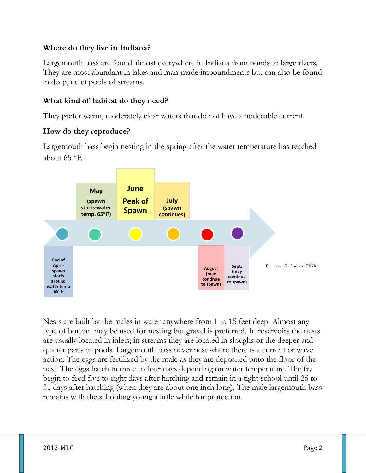#### **Where do they live in Indiana?**

Largemouth bass are found almost everywhere in Indiana from ponds to large rivers. They are most abundant in lakes and man-made impoundments but can also be found in deep, quiet pools of streams.

## **What kind of habitat do they need?**

They prefer warm, moderately clear waters that do not have a noticeable current.

## **How do they reproduce?**

Largemouth bass begin nesting in the spring after the water temperature has reached about 65 °F.



Nests are built by the males in water anywhere from 1 to 15 feet deep. Almost any type of bottom may be used for nesting but gravel is preferred. In reservoirs the nests are usually located in inlets; in streams they are located in sloughs or the deeper and quieter parts of pools. Largemouth bass never nest where there is a current or wave action. The eggs are fertilized by the male as they are deposited onto the floor of the nest. The eggs hatch in three to four days depending on water temperature. The fry begin to feed five to eight days after hatching and remain in a tight school until 26 to 31 days after hatching (when they are about one inch long). The male largemouth bass remains with the schooling young a little while for protection.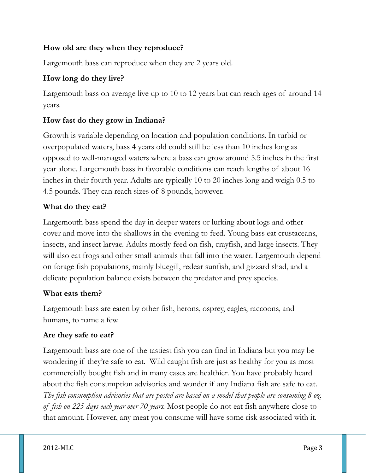## **How old are they when they reproduce?**

Largemouth bass can reproduce when they are 2 years old.

## **How long do they live?**

Largemouth bass on average live up to 10 to 12 years but can reach ages of around 14 years.

#### **How fast do they grow in Indiana?**

Growth is variable depending on location and population conditions. In turbid or overpopulated waters, bass 4 years old could still be less than 10 inches long as opposed to well-managed waters where a bass can grow around 5.5 inches in the first year alone. Largemouth bass in favorable conditions can reach lengths of about 16 inches in their fourth year. Adults are typically 10 to 20 inches long and weigh 0.5 to 4.5 pounds. They can reach sizes of 8 pounds, however.

#### **What do they eat?**

Largemouth bass spend the day in deeper waters or lurking about logs and other cover and move into the shallows in the evening to feed. Young bass eat crustaceans, insects, and insect larvae. Adults mostly feed on fish, crayfish, and large insects. They will also eat frogs and other small animals that fall into the water. Largemouth depend on forage fish populations, mainly bluegill, redear sunfish, and gizzard shad, and a delicate population balance exists between the predator and prey species.

#### **What eats them?**

Largemouth bass are eaten by other fish, herons, osprey, eagles, raccoons, and humans, to name a few.

#### **Are they safe to eat?**

Largemouth bass are one of the tastiest fish you can find in Indiana but you may be wondering if they're safe to eat. Wild caught fish are just as healthy for you as most commercially bought fish and in many cases are healthier. You have probably heard about the fish consumption advisories and wonder if any Indiana fish are safe to eat. *The fish consumption advisories that are posted are based on a model that people are consuming 8 oz. of fish on 225 days each year over 70 years.* Most people do not eat fish anywhere close to that amount. However, any meat you consume will have some risk associated with it.